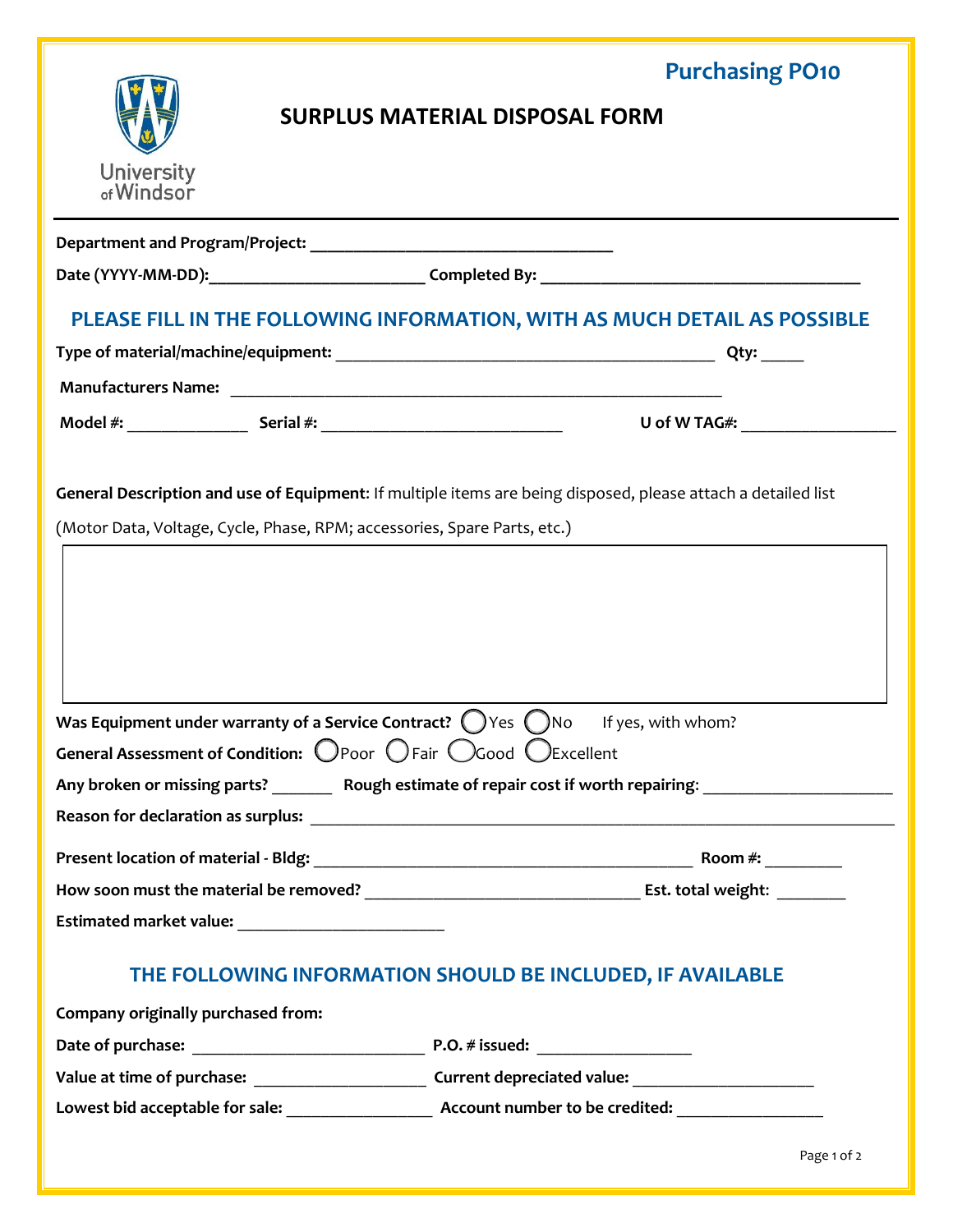|                                                                                                                                             | <b>Purchasing PO10</b>                                                                                         |
|---------------------------------------------------------------------------------------------------------------------------------------------|----------------------------------------------------------------------------------------------------------------|
|                                                                                                                                             | <b>SURPLUS MATERIAL DISPOSAL FORM</b>                                                                          |
|                                                                                                                                             |                                                                                                                |
| <b>University</b><br>of Windsor                                                                                                             |                                                                                                                |
|                                                                                                                                             |                                                                                                                |
|                                                                                                                                             |                                                                                                                |
|                                                                                                                                             | PLEASE FILL IN THE FOLLOWING INFORMATION, WITH AS MUCH DETAIL AS POSSIBLE                                      |
|                                                                                                                                             |                                                                                                                |
|                                                                                                                                             |                                                                                                                |
|                                                                                                                                             | U of W TAG#: ___________________                                                                               |
| Was Equipment under warranty of a Service Contract? $($ $)$ Yes $($ $)$ No<br>General Assessment of Condition: OPoor OFair OGood OExcellent | If yes, with whom?                                                                                             |
|                                                                                                                                             | Any broken or missing parts? __________ Rough estimate of repair cost if worth repairing: ____________________ |
|                                                                                                                                             |                                                                                                                |
|                                                                                                                                             |                                                                                                                |
|                                                                                                                                             |                                                                                                                |
|                                                                                                                                             |                                                                                                                |
|                                                                                                                                             | THE FOLLOWING INFORMATION SHOULD BE INCLUDED, IF AVAILABLE                                                     |
| Company originally purchased from:                                                                                                          |                                                                                                                |
|                                                                                                                                             |                                                                                                                |
|                                                                                                                                             |                                                                                                                |
|                                                                                                                                             | Lowest bid acceptable for sale: Account number to be credited:                                                 |

Page 1 of 2